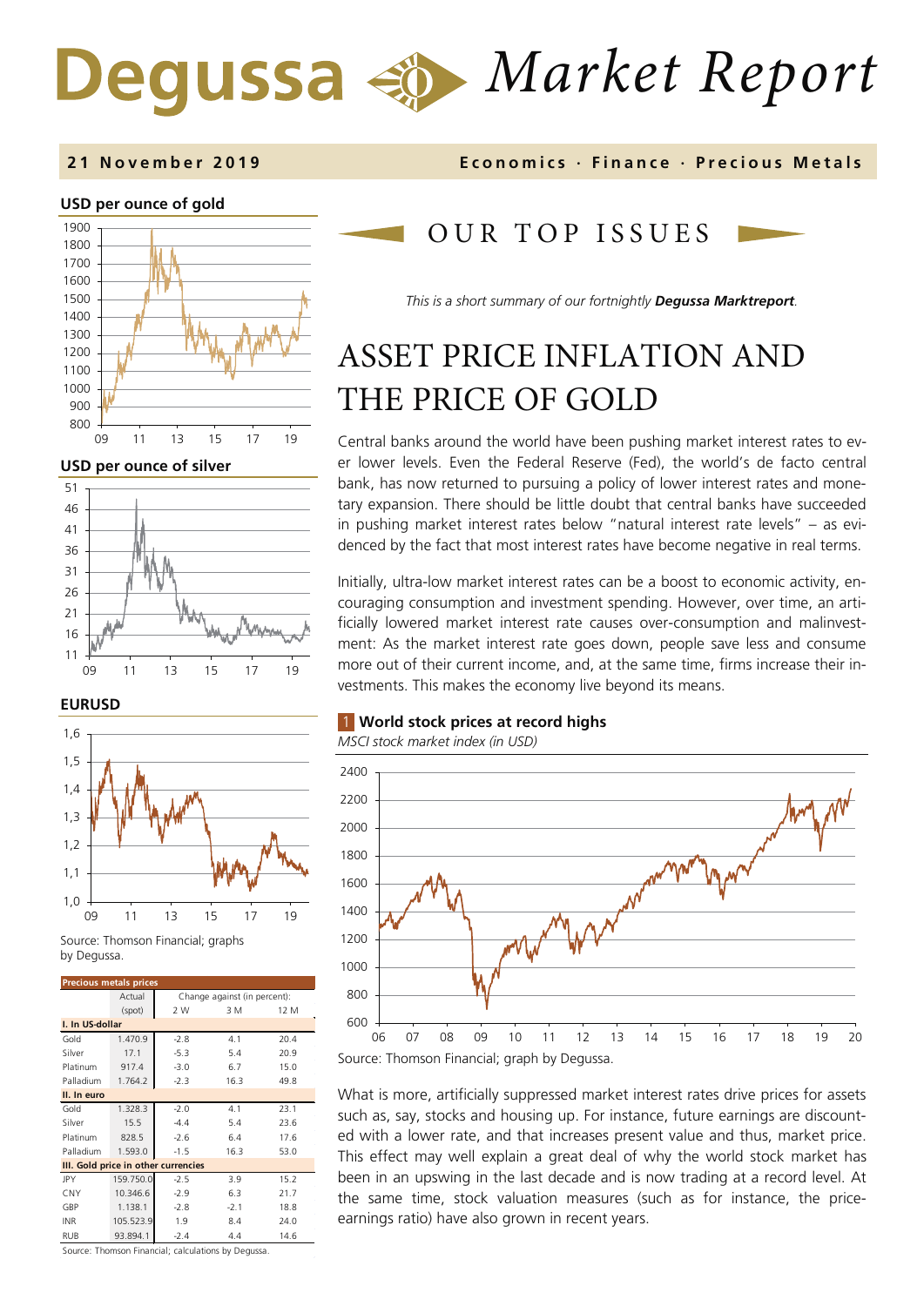# *Market Report*

## **2 1 November 201 9 Economics · Finance · Precious M etals**

#### **USD per ounce of gold**



**USD per ounce of silver** 



#### **EURUSD**



Source: Thomson Financial; graphs by Degussa

| <b>Precious metals prices</b>       |           |                              |        |      |  |
|-------------------------------------|-----------|------------------------------|--------|------|--|
|                                     | Actual    | Change against (in percent): |        |      |  |
|                                     | (spot)    | 2 W                          | 3 M    | 12 M |  |
| I. In US-dollar                     |           |                              |        |      |  |
| Gold                                | 1.470.9   | $-2.8$                       | 4.1    | 20.4 |  |
| Silver                              | 17.1      | $-5.3$                       | 5.4    | 20.9 |  |
| Platinum                            | 917.4     | $-3.0$                       | 6.7    | 15.0 |  |
| Palladium                           | 1.764.2   | $-2.3$                       | 16.3   | 49.8 |  |
| II. In euro                         |           |                              |        |      |  |
| Gold                                | 1.328.3   | $-2.0$                       | 4.1    | 23.1 |  |
| Silver                              | 15.5      | $-4.4$                       | 5.4    | 23.6 |  |
| Platinum                            | 828.5     | $-2.6$                       | 6.4    | 17.6 |  |
| Palladium                           | 1.593.0   | $-1.5$                       | 16.3   | 53.0 |  |
| III. Gold price in other currencies |           |                              |        |      |  |
| <b>JPY</b>                          | 159.750.0 | $-2.5$                       | 3.9    | 15.2 |  |
| CNY                                 | 10.346.6  | $-2.9$                       | 6.3    | 21.7 |  |
| GBP                                 | 1.138.1   | $-2.8$                       | $-2.1$ | 18.8 |  |
| <b>INR</b>                          | 105.523.9 | 1.9                          | 8.4    | 24.0 |  |
| <b>RUB</b>                          | 93.894.1  | $-2.4$                       | 4.4    | 14.6 |  |

Source: Thomson Financial; calculations by Degussa.

# OUR TOP ISSUE S

*This is a short summary of our fortnightly Degussa Marktreport.*

# ASSET PRICE INFLATION AND THE PRICE OF GOLD

Central banks around the world have been pushing market interest rates to ever lower levels. Even the Federal Reserve (Fed), the world's de facto central bank, has now returned to pursuing a policy of lower interest rates and monetary expansion. There should be little doubt that central banks have succeeded in pushing market interest rates below "natural interest rate levels" – as evidenced by the fact that most interest rates have become negative in real terms.

Initially, ultra-low market interest rates can be a boost to economic activity, encouraging consumption and investment spending. However, over time, an artificially lowered market interest rate causes over-consumption and malinvestment: As the market interest rate goes down, people save less and consume more out of their current income, and, at the same time, firms increase their investments. This makes the economy live beyond its means.

## 1 **World stock prices at record highs**



What is more, artificially suppressed market interest rates drive prices for assets such as, say, stocks and housing up. For instance, future earnings are discounted with a lower rate, and that increases present value and thus, market price. This effect may well explain a great deal of why the world stock market has been in an upswing in the last decade and is now trading at a record level. At the same time, stock valuation measures (such as for instance, the priceearnings ratio) have also grown in recent years.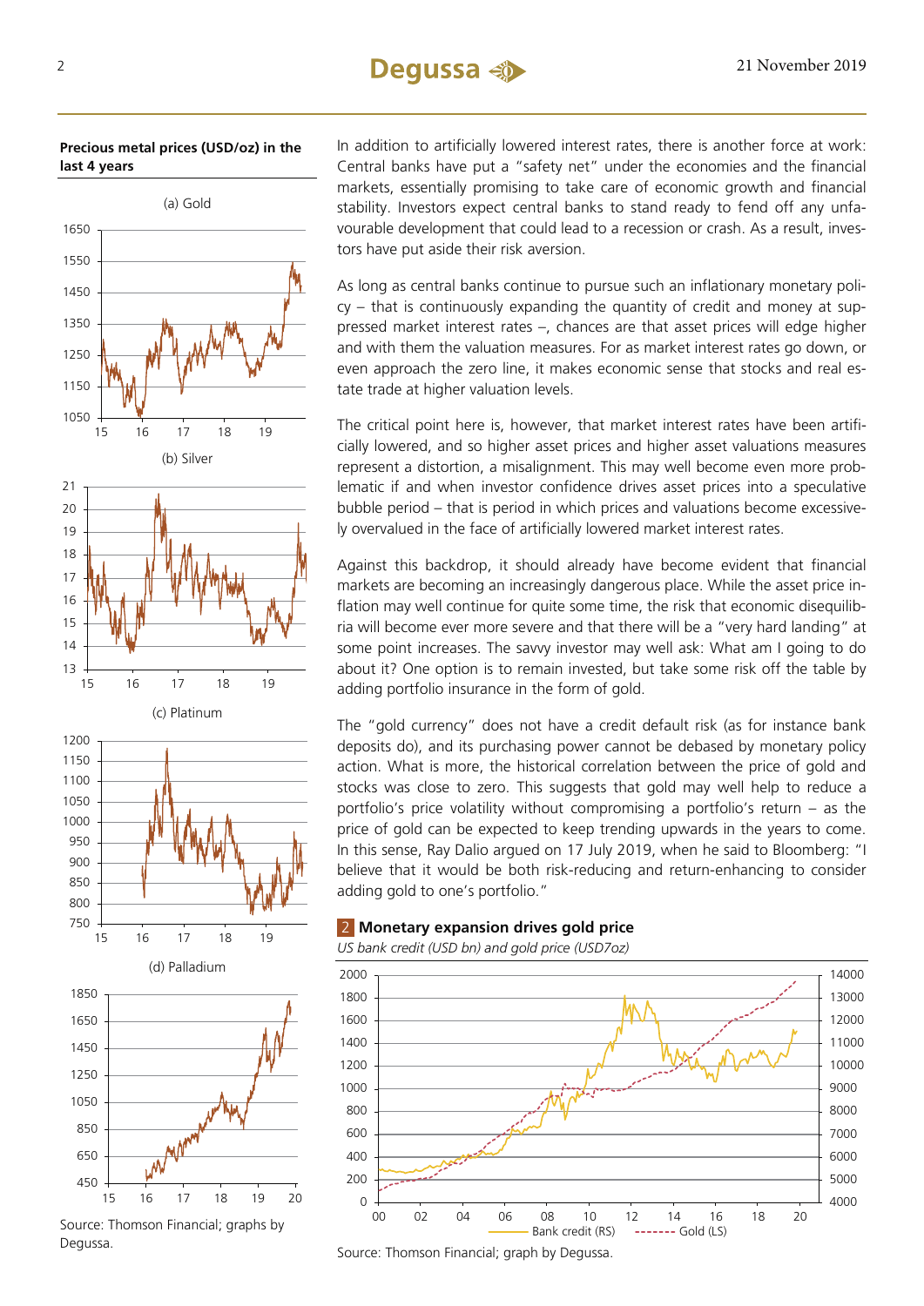# 2 21 November 2019

**Precious metal prices (USD/oz) in the last 4 years**



Source: Thomson Financial; graphs by Degussa.

In addition to artificially lowered interest rates, there is another force at work: Central banks have put a "safety net" under the economies and the financial markets, essentially promising to take care of economic growth and financial stability. Investors expect central banks to stand ready to fend off any unfavourable development that could lead to a recession or crash. As a result, investors have put aside their risk aversion.

As long as central banks continue to pursue such an inflationary monetary policy – that is continuously expanding the quantity of credit and money at suppressed market interest rates –, chances are that asset prices will edge higher and with them the valuation measures. For as market interest rates go down, or even approach the zero line, it makes economic sense that stocks and real estate trade at higher valuation levels.

The critical point here is, however, that market interest rates have been artificially lowered, and so higher asset prices and higher asset valuations measures represent a distortion, a misalignment. This may well become even more problematic if and when investor confidence drives asset prices into a speculative bubble period – that is period in which prices and valuations become excessively overvalued in the face of artificially lowered market interest rates.

Against this backdrop, it should already have become evident that financial markets are becoming an increasingly dangerous place. While the asset price inflation may well continue for quite some time, the risk that economic disequilibria will become ever more severe and that there will be a "very hard landing" at some point increases. The savvy investor may well ask: What am I going to do about it? One option is to remain invested, but take some risk off the table by adding portfolio insurance in the form of gold.

The "gold currency" does not have a credit default risk (as for instance bank deposits do), and its purchasing power cannot be debased by monetary policy action. What is more, the historical correlation between the price of gold and stocks was close to zero. This suggests that gold may well help to reduce a portfolio's price volatility without compromising a portfolio's return – as the price of gold can be expected to keep trending upwards in the years to come. In this sense, Ray Dalio argued on 17 July 2019, when he said to Bloomberg: "I believe that it would be both risk-reducing and return-enhancing to consider adding gold to one's portfolio."

## 2 **Monetary expansion drives gold price**

*US bank credit (USD bn) and gold price (USD7oz)*



Source: Thomson Financial; graph by Degussa.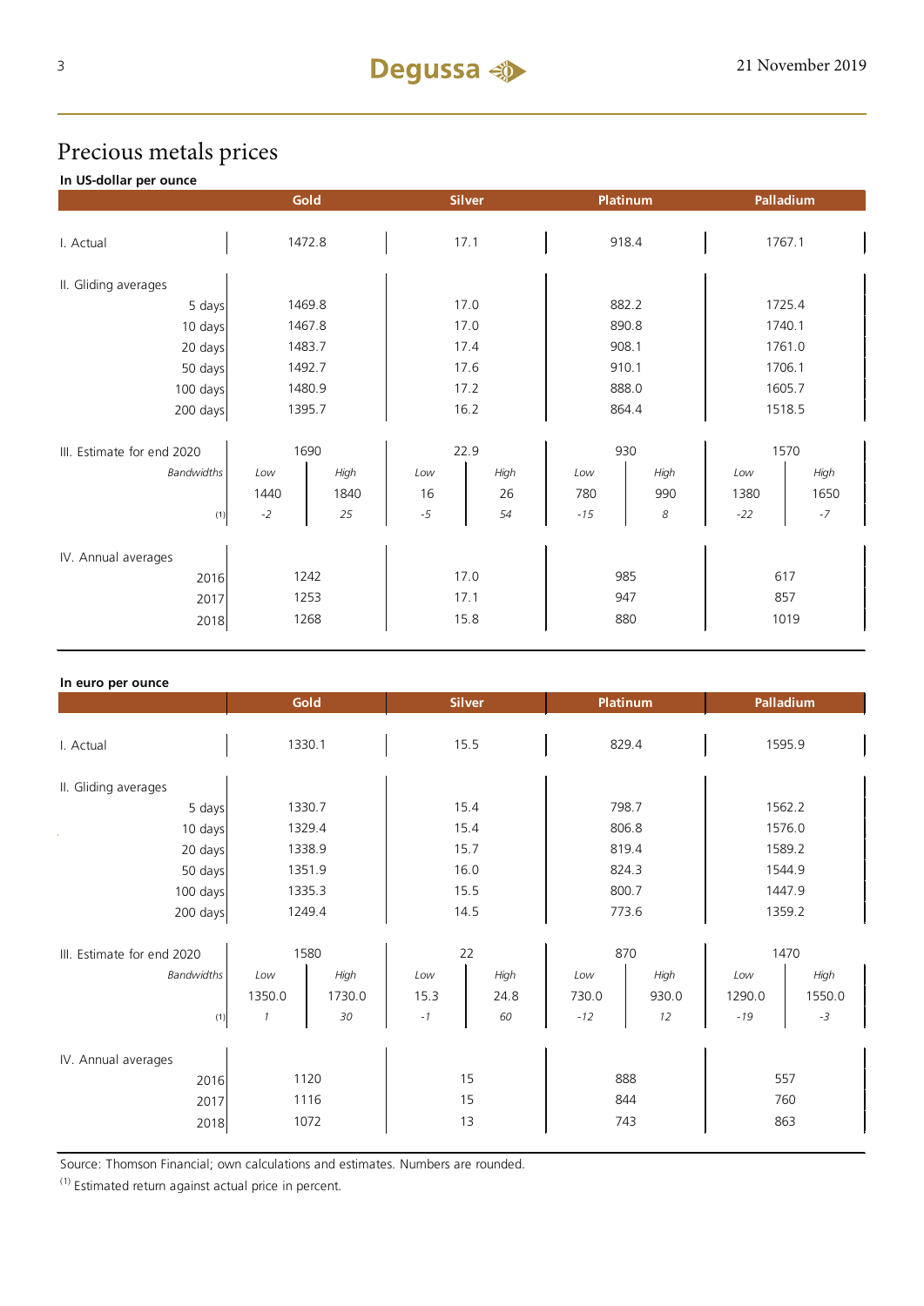# Precious metals prices

## **In US-dollar per ounce**

|                             | Gold<br><b>Silver</b> |      | Platinum |      | Palladium |      |        |      |
|-----------------------------|-----------------------|------|----------|------|-----------|------|--------|------|
|                             |                       |      |          |      |           |      |        |      |
| I. Actual                   | 1472.8                |      | 17.1     |      | 918.4     |      | 1767.1 |      |
| II. Gliding averages        |                       |      |          |      |           |      |        |      |
| 5 days                      | 1469.8                |      | 17.0     |      | 882.2     |      | 1725.4 |      |
| 10 days                     | 1467.8                |      | 17.0     |      | 890.8     |      | 1740.1 |      |
| 20 days                     | 1483.7                |      | 17.4     |      | 908.1     |      | 1761.0 |      |
| 50 days                     | 1492.7                |      | 17.6     |      | 910.1     |      | 1706.1 |      |
| 100 days                    | 1480.9                |      | 17.2     |      | 888.0     |      | 1605.7 |      |
| 200 days                    | 1395.7                |      | 16.2     |      | 864.4     |      | 1518.5 |      |
| III. Estimate for end 2020  | 1690                  |      | 22.9     |      | 930       |      | 1570   |      |
| <b>Bandwidths</b>           | Low                   | High | Low      | High | Low       | High | Low    | High |
|                             | 1440                  | 1840 | 16       | 26   | 780       | 990  | 1380   | 1650 |
| (1)                         | $-2$                  | 25   | $-5$     | 54   | $-15$     | 8    | $-22$  | $-7$ |
|                             |                       |      |          |      |           |      |        |      |
| IV. Annual averages<br>2016 | 1242                  |      | 17.0     |      | 985       |      | 617    |      |
| 2017                        | 1253                  |      | 17.1     |      | 947       |      | 857    |      |
| 2018                        | 1268                  |      | 15.8     |      | 880       |      | 1019   |      |

| In euro per ounce          |               |        |               |      |                 |       |           |        |
|----------------------------|---------------|--------|---------------|------|-----------------|-------|-----------|--------|
|                            | Gold          |        | <b>Silver</b> |      | <b>Platinum</b> |       | Palladium |        |
|                            |               |        |               |      |                 |       |           |        |
| I. Actual                  | 1330.1        |        | 15.5          |      | 829.4           |       | 1595.9    |        |
|                            |               |        |               |      |                 |       |           |        |
| II. Gliding averages       |               |        |               |      |                 |       |           |        |
| 5 days                     | 1330.7        |        | 15.4          |      | 798.7           |       | 1562.2    |        |
| 10 days                    | 1329.4        |        | 15.4          |      | 806.8           |       | 1576.0    |        |
| 20 days                    | 1338.9        |        | 15.7          |      | 819.4           |       | 1589.2    |        |
| 50 days                    | 1351.9        |        | 16.0          |      | 824.3           |       | 1544.9    |        |
| 100 days                   | 1335.3        |        | 15.5          |      | 800.7           |       | 1447.9    |        |
| 200 days                   | 1249.4        |        | 14.5          |      | 773.6           |       | 1359.2    |        |
|                            |               |        |               |      |                 |       |           |        |
| III. Estimate for end 2020 | 1580          |        | 22            |      | 870             |       | 1470      |        |
| <b>Bandwidths</b>          | Low           | High   | Low           | High | Low             | High  | Low       | High   |
|                            | 1350.0        | 1730.0 | 15.3          | 24.8 | 730.0           | 930.0 | 1290.0    | 1550.0 |
| (1)                        | $\mathcal{I}$ | 30     | $^{\rm -1}$   | 60   | $-12$           | 12    | $-19$     | $-3$   |
|                            |               |        |               |      |                 |       |           |        |
| IV. Annual averages        |               |        |               |      |                 |       |           |        |
| 2016                       | 1120          |        | 15            |      | 888             |       | 557       |        |
| 2017                       | 1116          |        | 15            |      | 844             |       | 760       |        |
| 2018                       | 1072          |        | 13            |      | 743             |       | 863       |        |
|                            |               |        |               |      |                 |       |           |        |

Source: Thomson Financial; own calculations and estimates. Numbers are rounded.

 $(1)$  Estimated return against actual price in percent.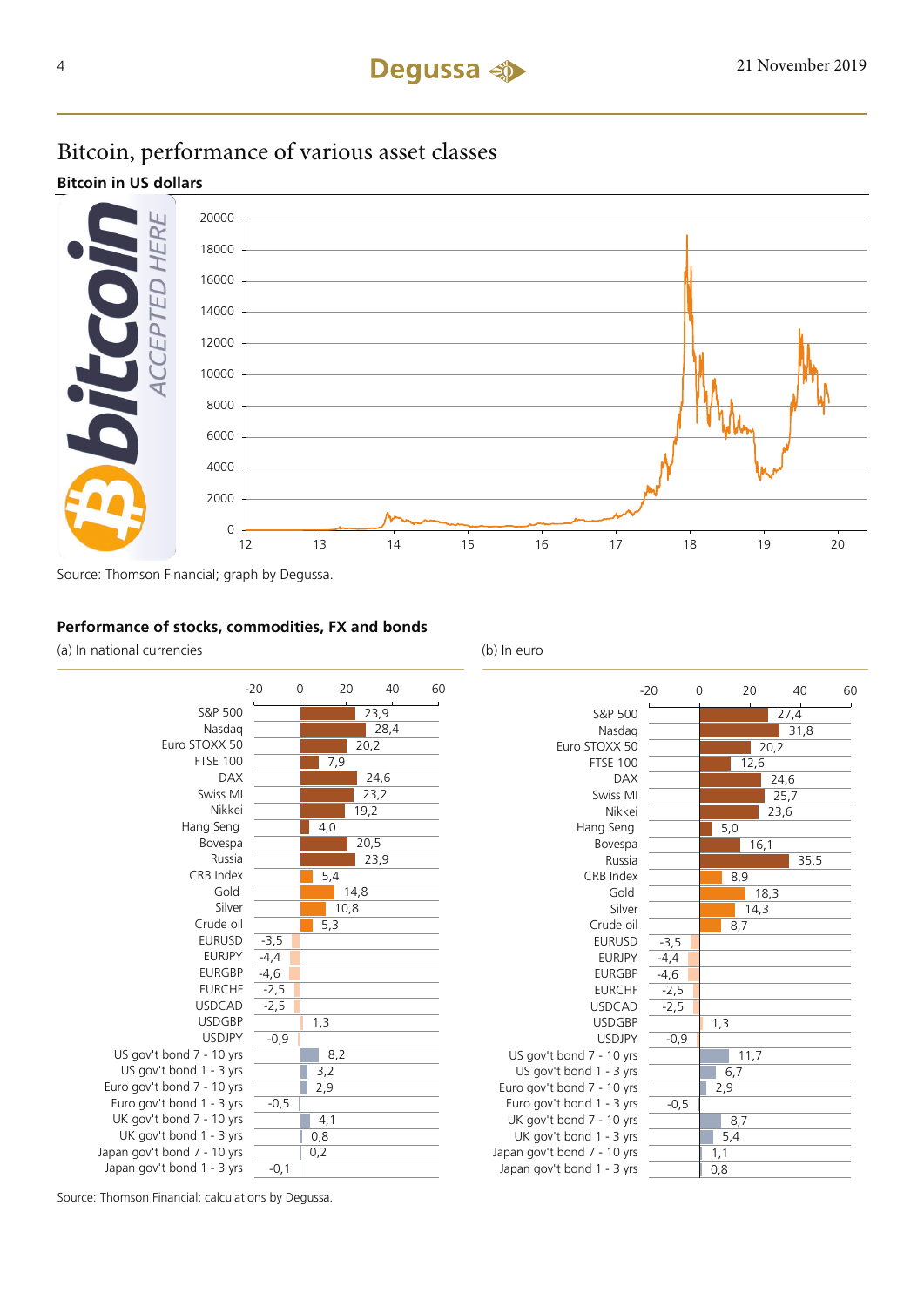# Bitcoin, performance of various asset classes

## **Bitcoin in US dollars**



Source: Thomson Financial; graph by Degussa.

## **Performance of stocks, commodities, FX and bonds**

(a) In national currencies (b) In euro





Source: Thomson Financial; calculations by Degussa.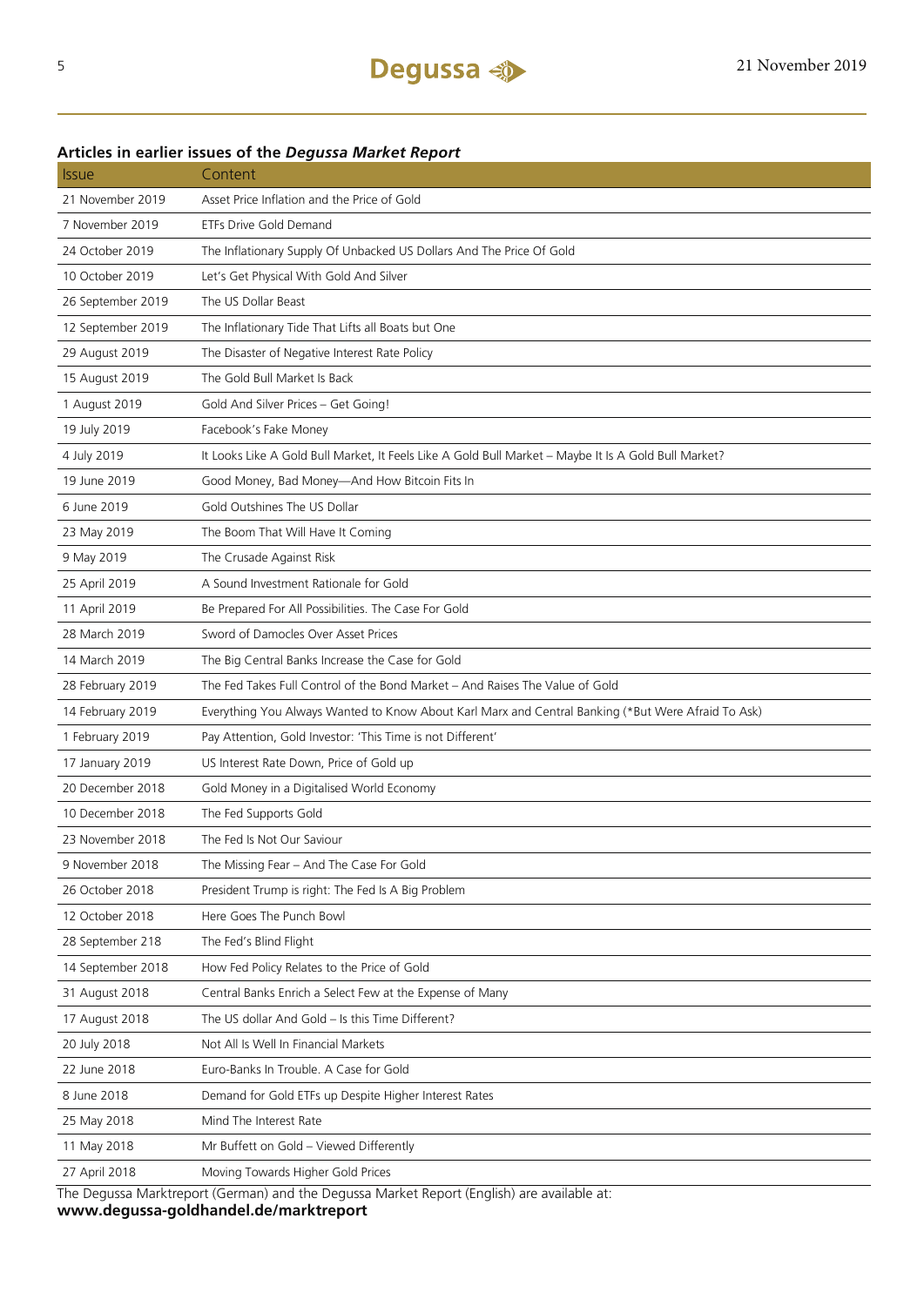| <i><b>Issue</b></i>                                                                        | Content                                                                                              |  |  |  |
|--------------------------------------------------------------------------------------------|------------------------------------------------------------------------------------------------------|--|--|--|
| 21 November 2019                                                                           | Asset Price Inflation and the Price of Gold                                                          |  |  |  |
| 7 November 2019                                                                            | <b>ETFs Drive Gold Demand</b>                                                                        |  |  |  |
| 24 October 2019                                                                            | The Inflationary Supply Of Unbacked US Dollars And The Price Of Gold                                 |  |  |  |
| 10 October 2019                                                                            | Let's Get Physical With Gold And Silver                                                              |  |  |  |
| 26 September 2019                                                                          | The US Dollar Beast                                                                                  |  |  |  |
| 12 September 2019                                                                          | The Inflationary Tide That Lifts all Boats but One                                                   |  |  |  |
| 29 August 2019                                                                             | The Disaster of Negative Interest Rate Policy                                                        |  |  |  |
| 15 August 2019                                                                             | The Gold Bull Market Is Back                                                                         |  |  |  |
| 1 August 2019                                                                              | Gold And Silver Prices - Get Going!                                                                  |  |  |  |
| 19 July 2019                                                                               | Facebook's Fake Money                                                                                |  |  |  |
| 4 July 2019                                                                                | It Looks Like A Gold Bull Market, It Feels Like A Gold Bull Market - Maybe It Is A Gold Bull Market? |  |  |  |
| 19 June 2019                                                                               | Good Money, Bad Money-And How Bitcoin Fits In                                                        |  |  |  |
| 6 June 2019                                                                                | Gold Outshines The US Dollar                                                                         |  |  |  |
| 23 May 2019                                                                                | The Boom That Will Have It Coming                                                                    |  |  |  |
| 9 May 2019                                                                                 | The Crusade Against Risk                                                                             |  |  |  |
| 25 April 2019                                                                              | A Sound Investment Rationale for Gold                                                                |  |  |  |
| 11 April 2019                                                                              | Be Prepared For All Possibilities. The Case For Gold                                                 |  |  |  |
| 28 March 2019                                                                              | Sword of Damocles Over Asset Prices                                                                  |  |  |  |
| 14 March 2019                                                                              | The Big Central Banks Increase the Case for Gold                                                     |  |  |  |
| 28 February 2019                                                                           | The Fed Takes Full Control of the Bond Market - And Raises The Value of Gold                         |  |  |  |
| 14 February 2019                                                                           | Everything You Always Wanted to Know About Karl Marx and Central Banking (*But Were Afraid To Ask)   |  |  |  |
| 1 February 2019                                                                            | Pay Attention, Gold Investor: 'This Time is not Different'                                           |  |  |  |
| 17 January 2019                                                                            | US Interest Rate Down, Price of Gold up                                                              |  |  |  |
| 20 December 2018                                                                           | Gold Money in a Digitalised World Economy                                                            |  |  |  |
| 10 December 2018                                                                           | The Fed Supports Gold                                                                                |  |  |  |
| 23 November 2018                                                                           | The Fed Is Not Our Saviour                                                                           |  |  |  |
| 9 November 2018                                                                            | The Missing Fear - And The Case For Gold                                                             |  |  |  |
| 26 October 2018                                                                            | President Trump is right: The Fed Is A Big Problem                                                   |  |  |  |
| 12 October 2018                                                                            | Here Goes The Punch Bowl                                                                             |  |  |  |
| 28 September 218                                                                           | The Fed's Blind Flight                                                                               |  |  |  |
| 14 September 2018                                                                          | How Fed Policy Relates to the Price of Gold                                                          |  |  |  |
| 31 August 2018                                                                             | Central Banks Enrich a Select Few at the Expense of Many                                             |  |  |  |
| 17 August 2018                                                                             | The US dollar And Gold - Is this Time Different?                                                     |  |  |  |
| 20 July 2018                                                                               | Not All Is Well In Financial Markets                                                                 |  |  |  |
| 22 June 2018                                                                               | Euro-Banks In Trouble. A Case for Gold                                                               |  |  |  |
| 8 June 2018                                                                                | Demand for Gold ETFs up Despite Higher Interest Rates                                                |  |  |  |
| 25 May 2018                                                                                | Mind The Interest Rate                                                                               |  |  |  |
| 11 May 2018                                                                                | Mr Buffett on Gold - Viewed Differently                                                              |  |  |  |
| 27 April 2018                                                                              | Moving Towards Higher Gold Prices                                                                    |  |  |  |
| The Degussa Marktreport (German) and the Degussa Market Report (English) are available at: |                                                                                                      |  |  |  |

## **Articles in earlier issues of the** *Degussa Market Report*

**www.degussa-goldhandel.de/marktreport**